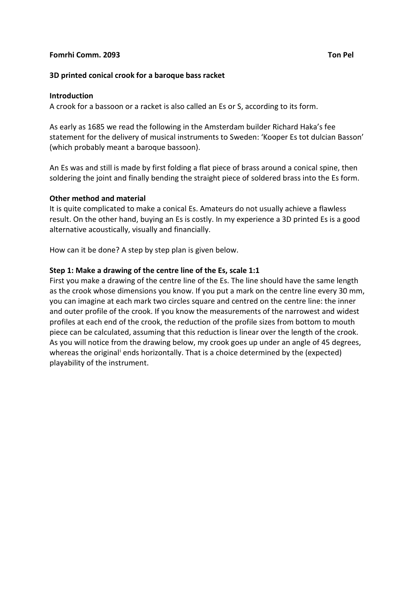## **Fomrhi Comm. 2093 Ton Pel**

## **3D printed conical crook for a baroque bass racket**

#### **Introduction**

A crook for a bassoon or a racket is also called an Es or S, according to its form.

As early as 1685 we read the following in the Amsterdam builder Richard Haka's fee statement for the delivery of musical instruments to Sweden: 'Kooper Es tot dulcian Basson' (which probably meant a baroque bassoon).

An Es was and still is made by first folding a flat piece of brass around a conical spine, then soldering the joint and finally bending the straight piece of soldered brass into the Es form.

## **Other method and material**

It is quite complicated to make a conical Es. Amateurs do not usually achieve a flawless result. On the other hand, buying an Es is costly. In my experience a 3D printed Es is a good alternative acoustically, visually and financially.

How can it be done? A step by step plan is given below.

## **Step 1: Make a drawing of the centre line of the Es, scale 1:1**

First you make a drawing of the centre line of the Es. The line should have the same length as the crook whose dimensions you know. If you put a mark on the centre line every 30 mm, you can imagine at each mark two circles square and centred on the centre line: the inner and outer profile of the crook. If you know the measurements of the narrowest and widest profiles at each end of the crook, the reduction of the profile sizes from bottom to mouth piece can be calculated, assuming that this reduction is linear over the length of the crook. As you will notice from the drawing below, my crook goes up under an angle of 45 degrees, whereas the or[i](#page-4-0)ginal<sup>i</sup> ends horizontally. That is a choice determined by the (expected) playability of the instrument.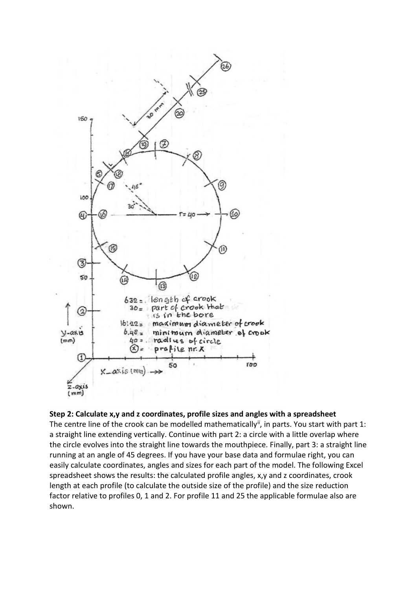

# **Step 2: Calculate x,y and z coordinates, profile sizes and angles with a spreadsheet**

The centre line of the crook can be modelled mathematically<sup>[ii](#page-4-1)</sup>, in parts. You start with part 1: a straight line extending vertically. Continue with part 2: a circle with a little overlap where the circle evolves into the straight line towards the mouthpiece. Finally, part 3: a straight line running at an angle of 45 degrees. If you have your base data and formulae right, you can easily calculate coordinates, angles and sizes for each part of the model. The following Excel spreadsheet shows the results: the calculated profile angles, x,y and z coordinates, crook length at each profile (to calculate the outside size of the profile) and the size reduction factor relative to profiles 0, 1 and 2. For profile 11 and 25 the applicable formulae also are shown.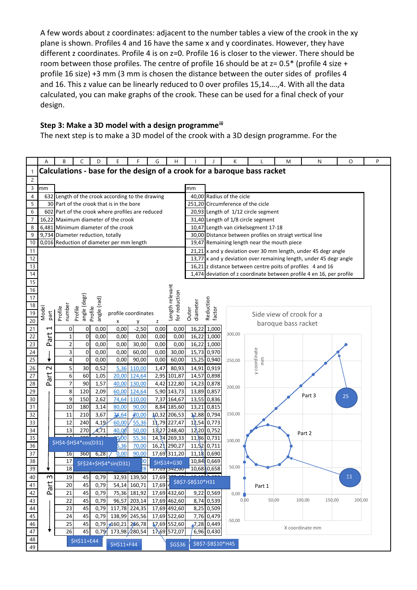A few words about z coordinates: adjacent to the number tables a view of the crook in the xy plane is shown. Profiles 4 and 16 have the same x and y coordinates. However, they have different z coordinates. Profile 4 is on z=0. Profile 16 is closer to the viewer. There should be room between those profiles. The centre of profile 16 should be at  $z = 0.5^*$  (profile 4 size + profile 16 size) +3 mm (3 mm is chosen the distance between the outer sides of profiles 4 and 16. This z value can be linearly reduced to 0 over profiles 15,14….,4. With all the data calculated, you can make graphs of the crook. These can be used for a final check of your design.

# **Step 3: Make a 3D model with a design programmeiii**

The next step is to make a 3D model of the crook with a 3D design programme. For the

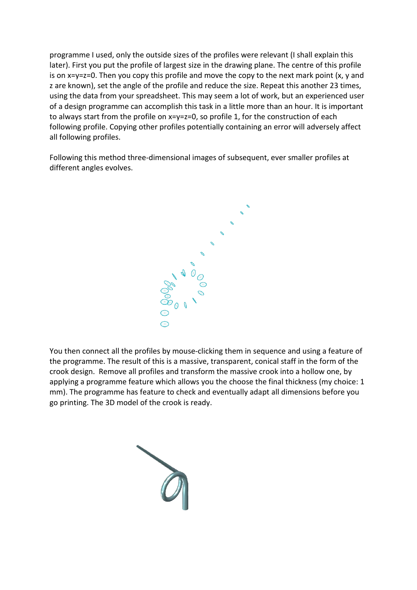programme I used, only the outside sizes of the profiles were relevant (I shall explain this later). First you put the profile of largest size in the drawing plane. The centre of this profile is on x=y=z=0. Then you copy this profile and move the copy to the next mark point (x, y and z are known), set the angle of the profile and reduce the size. Repeat this another 23 times, using the data from your spreadsheet. This may seem a lot of work, but an experienced user of a design programme can accomplish this task in a little more than an hour. It is important to always start from the profile on x=y=z=0, so profile 1, for the construction of each following profile. Copying other profiles potentially containing an error will adversely affect all following profiles.

Following this method three-dimensional images of subsequent, ever smaller profiles at different angles evolves.



You then connect all the profiles by mouse-clicking them in sequence and using a feature of the programme. The result of this is a massive, transparent, conical staff in the form of the crook design. Remove all profiles and transform the massive crook into a hollow one, by applying a programme feature which allows you the choose the final thickness (my choice: 1 mm). The programme has feature to check and eventually adapt all dimensions before you go printing. The 3D model of the crook is ready.